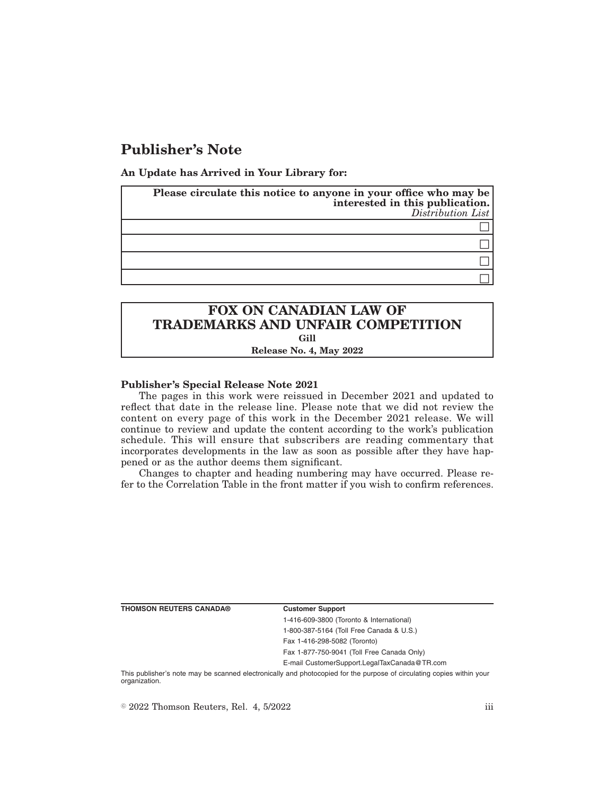# **Publisher's Note**

**An Update has Arrived in Your Library for:**

| Please circulate this notice to anyone in your office who may be<br>interested in this publication.<br>Distribution List |
|--------------------------------------------------------------------------------------------------------------------------|
|                                                                                                                          |
|                                                                                                                          |
|                                                                                                                          |
|                                                                                                                          |

## **FOX ON CANADIAN LAW OF TRADEMARKS AND UNFAIR COMPETITION Gill Release No. 4, May 2022**

### **Publisher's Special Release Note 2021**

The pages in this work were reissued in December 2021 and updated to reflect that date in the release line. Please note that we did not review the content on every page of this work in the December 2021 release. We will continue to review and update the content according to the work's publication schedule. This will ensure that subscribers are reading commentary that incorporates developments in the law as soon as possible after they have happened or as the author deems them significant.

Changes to chapter and heading numbering may have occurred. Please refer to the Correlation Table in the front matter if you wish to confirm references.

**THOMSON REUTERS CANADA® Customer Support**

1-416-609-3800 (Toronto & International) 1-800-387-5164 (Toll Free Canada & U.S.) Fax 1-416-298-5082 (Toronto)

Fax 1-877-750-9041 (Toll Free Canada Only)

E-mail CustomerSupport.LegalTaxCanada@TR.com

This publisher's note may be scanned electronically and photocopied for the purpose of circulating copies within your organization.

 $\degree$  2022 Thomson Reuters, Rel. 4, 5/2022 iii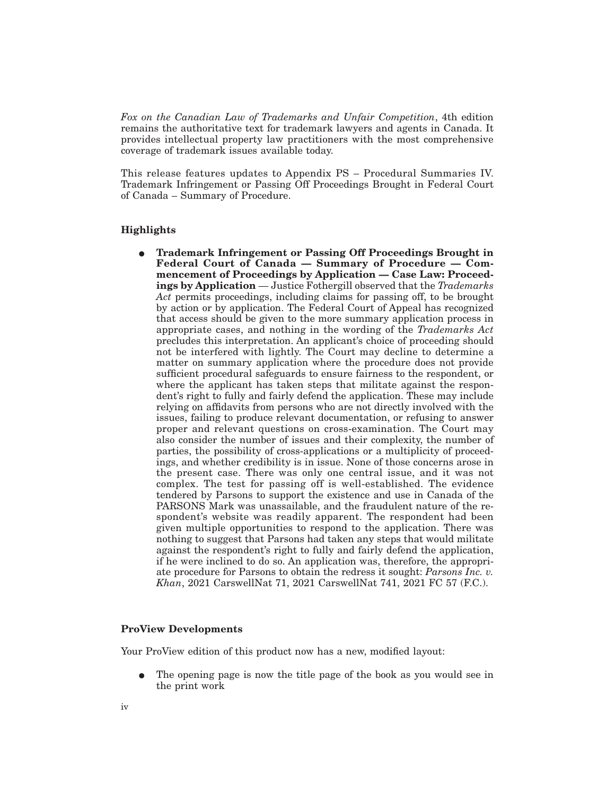*Fox on the Canadian Law of Trademarks and Unfair Competition*, 4th edition remains the authoritative text for trademark lawyers and agents in Canada. It provides intellectual property law practitioners with the most comprehensive coverage of trademark issues available today.

This release features updates to Appendix PS – Procedural Summaries IV. Trademark Infringement or Passing Off Proceedings Brought in Federal Court of Canada – Summary of Procedure.

### **Highlights**

E **Trademark Infringement or Passing Off Proceedings Brought in Federal Court of Canada — Summary of Procedure — Commencement of Proceedings by Application — Case Law: Proceedings by Application** — Justice Fothergill observed that the *Trademarks Act* permits proceedings, including claims for passing off, to be brought by action or by application. The Federal Court of Appeal has recognized that access should be given to the more summary application process in appropriate cases, and nothing in the wording of the *Trademarks Act* precludes this interpretation. An applicant's choice of proceeding should not be interfered with lightly. The Court may decline to determine a matter on summary application where the procedure does not provide sufficient procedural safeguards to ensure fairness to the respondent, or where the applicant has taken steps that militate against the respondent's right to fully and fairly defend the application. These may include relying on affidavits from persons who are not directly involved with the issues, failing to produce relevant documentation, or refusing to answer proper and relevant questions on cross-examination. The Court may also consider the number of issues and their complexity, the number of parties, the possibility of cross-applications or a multiplicity of proceedings, and whether credibility is in issue. None of those concerns arose in the present case. There was only one central issue, and it was not complex. The test for passing off is well-established. The evidence tendered by Parsons to support the existence and use in Canada of the PARSONS Mark was unassailable, and the fraudulent nature of the respondent's website was readily apparent. The respondent had been given multiple opportunities to respond to the application. There was nothing to suggest that Parsons had taken any steps that would militate against the respondent's right to fully and fairly defend the application, if he were inclined to do so. An application was, therefore, the appropriate procedure for Parsons to obtain the redress it sought: *Parsons Inc. v. Khan*, 2021 CarswellNat 71, 2021 CarswellNat 741, 2021 FC 57 (F.C.).

### **ProView Developments**

Your ProView edition of this product now has a new, modified layout:

E The opening page is now the title page of the book as you would see in the print work